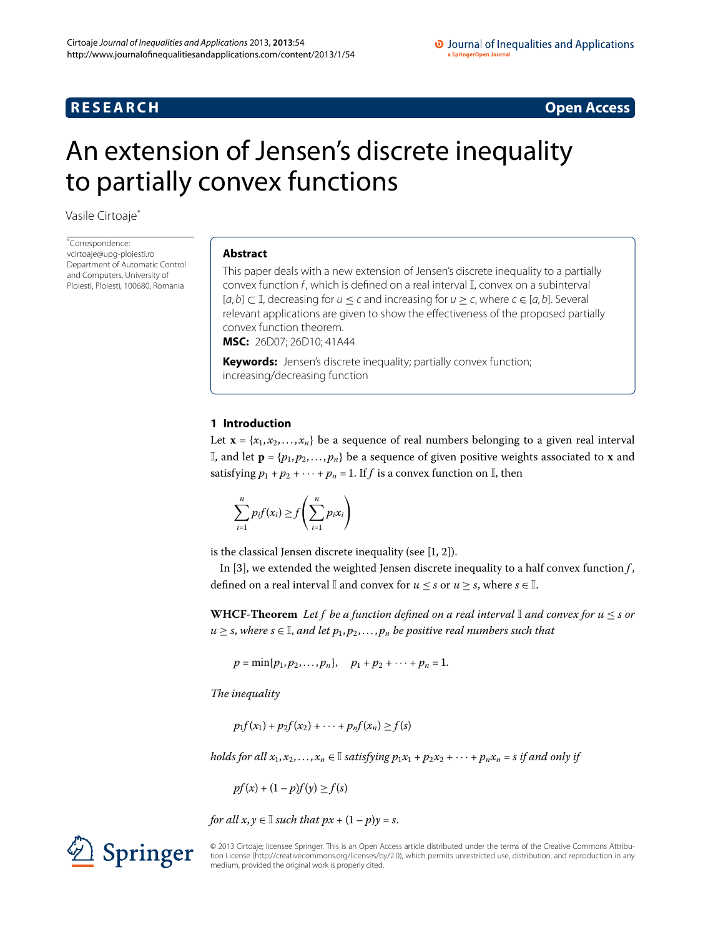## **RESEARCH RESEARCH** *RESEARCH*

#### O Journal of Inequalities and Applications a SpringerOpen Journa

# <span id="page-0-0"></span>An extension of Jensen's discrete inequality to partially convex functions

Vasile Cirtoaj[e\\*](#page-0-0)

\* Correspondence: [vcirtoaje@upg-ploiesti.ro](mailto:vcirtoaje@upg-ploiesti.ro) Department of Automatic Control and Computers, University of Ploiesti, Ploiesti, 100680, Romania

#### **Abstract**

This paper deals with a new extension of Jensen's discrete inequality to a partially convex function f, which is defined on a real interval I, convex on a subinterval  $[a, b] \subset \mathbb{I}$ , decreasing for  $u \le c$  and increasing for  $u \ge c$ , where  $c \in [a, b]$ . Several relevant applications are given to show the effectiveness of the proposed partially convex function theorem.

**MSC:** 26D07; 26D10; 41A44

**Keywords:** Jensen's discrete inequality; partially convex function; increasing/decreasing function

#### **1 Introduction**

Let  $\mathbf{x} = \{x_1, x_2, \ldots, x_n\}$  be a sequence of real numbers belonging to a given real interval I, and let  $\mathbf{p} = \{p_1, p_2, \ldots, p_n\}$  be a sequence of given positive weights associated to **x** and satisfying  $p_1 + p_2 + \cdots + p_n = 1$ . If f is a convex function on  $\mathbb{I}$ , then

$$
\sum_{i=1}^n p_i f(x_i) \ge f\left(\sum_{i=1}^n p_i x_i\right)
$$

is the classical Jensen discrete inequality (see  $[1, 2]$ ).

In [3[\]](#page-22-2), we extended the weighted Jensen discrete inequality to a half convex function  $f$ , defined on a real interval  $\mathbb{I}$  and convex for  $u \leq s$  or  $u \geq s$ , where  $s \in \mathbb{I}$ .

**WHCF-Theorem** *Let f be a function defined on a real interval* <sup>I</sup> *and convex for u* <sup>≤</sup> *s or*  $u \geq s$ , where  $s \in \mathbb{I}$ , and let  $p_1, p_2, \ldots, p_n$  be positive real numbers such that

 $p = \min\{p_1, p_2, \ldots, p_n\}, \quad p_1 + p_2 + \cdots + p_n = 1.$ 

*The inequality*

 $p_1 f(x_1) + p_2 f(x_2) + \cdots + p_n f(x_n) \ge f(s)$ 

*holds for all*  $x_1, x_2, ..., x_n \in \mathbb{I}$  *satisfying*  $p_1x_1 + p_2x_2 + \cdots + p_nx_n = s$  *if and only if* 

 $pf(x) + (1 - p)f(y) \ge f(s)$ 

*for all*  $x, y \in I$  *such that*  $px + (1 - p)y = s$ .

Springer

© 2013 Cirtoaje; licensee Springer. This is an Open Access article distributed under the terms of the Creative Commons Attribution License ([http://creativecommons.org/licenses/by/2.0\)](http://creativecommons.org/licenses/by/2.0), which permits unrestricted use, distribution, and reproduction in any medium, provided the original work is properly cited.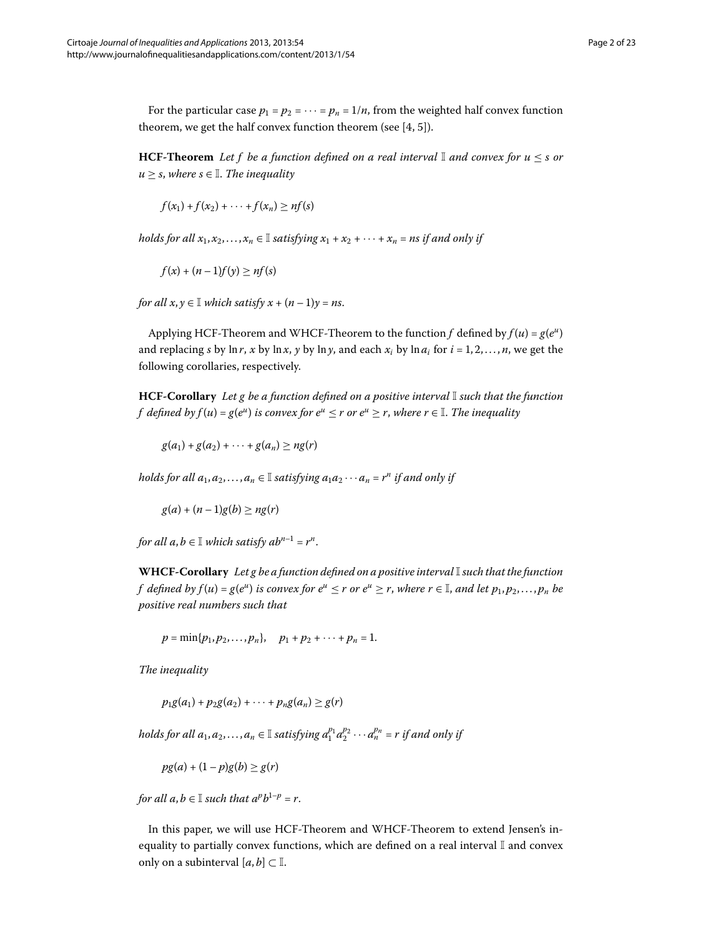For the particular case  $p_1 = p_2 = \cdots = p_n = 1/n$ , from the weighted half convex function theorem, we get the half convex function theorem (see  $[4, 5]$  $[4, 5]$  $[4, 5]$ ).

**HCF-Theorem** Let f be a function defined on a real interval  $\mathbb{I}$  and convex for  $u \leq s$  or  $u > s$ , where  $s \in \mathbb{I}$ . The inequality

$$
f(x_1)+f(x_2)+\cdots+f(x_n)\geq nf(s)
$$

*holds for all*  $x_1, x_2, \ldots, x_n \in \mathbb{I}$  *satisfying*  $x_1 + x_2 + \cdots + x_n =$  *ns if and only if* 

$$
f(x) + (n-1)f(y) \geq nf(s)
$$

*for all*  $x, y \in I$  *which satisfy*  $x + (n-1)y = ns$ .

Applying HCF-Theorem and WHCF-Theorem to the function *f* defined by  $f(u) = g(e^u)$ and replacing *s* by ln *r*, *x* by ln *x*, *y* by ln *y*, and each  $x_i$  by ln  $a_i$  for  $i = 1, 2, ..., n$ , we get the following corollaries, respectively.

**HCF-Corollary** *Let g be a function defined on a positive interval* I *such that the function f* defined by  $f(u) = g(e^u)$  is convex for  $e^u \le r$  or  $e^u \ge r$ , where  $r \in \mathbb{I}$ . The inequality

 $g(a_1) + g(a_2) + \cdots + g(a_n) \ge ng(r)$ 

*holds for all*  $a_1, a_2, \ldots, a_n \in \mathbb{I}$  *satisfying*  $a_1 a_2 \cdots a_n = r^n$  *if and only if* 

 $g(a) + (n-1)g(b) \ge n g(r)$ 

*for all*  $a, b \in \mathbb{I}$  *which satisfy*  $ab^{n-1} = r^n$ .

**WHCF-Corollary** *Let g be a function defined on a positive interval*I*such that the function f* defined by  $f(u) = g(e^u)$  is convex for  $e^u \leq r$  or  $e^u \geq r$ , where  $r \in \mathbb{I}$ , and let  $p_1, p_2, \ldots, p_n$  be *positive real numbers such that*

 $p = \min\{p_1, p_2, \ldots, p_n\}, \quad p_1 + p_2 + \cdots + p_n = 1.$ 

*The inequality*

 $p_1g(a_1) + p_2g(a_2) + \cdots + p_ng(a_n) \geq g(r)$ 

*holds for all*  $a_1, a_2, \ldots, a_n \in \mathbb{I}$  *satisfying*  $a_1^{p_1} a_2^{p_2} \cdots a_n^{p_n} = r$  *if and only if* 

 $pg(a) + (1-p)g(b) \ge g(r)$ 

*for all*  $a, b \in \mathbb{I}$  *such that*  $a^p b^{1-p} = r$ .

In this paper, we will use HCF-Theorem and WHCF-Theorem to extend Jensen's inequality to partially convex functions, which are defined on a real interval  $\mathbb I$  and convex only on a subinterval  $[a, b] \subset \mathbb{I}$ .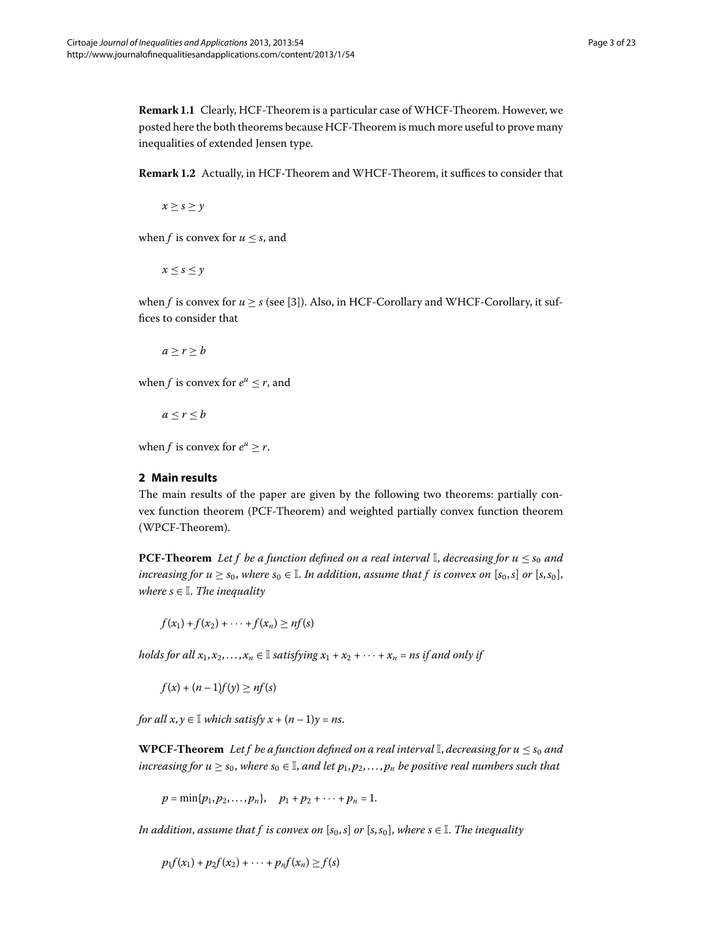<span id="page-2-0"></span>**Remark 1.1** Clearly, HCF-Theorem is a particular case of WHCF-Theorem. However, we posted here the both theorems because HCF-Theorem is much more useful to prove many inequalities of extended Jensen type.

**Remark 1.2** Actually, in HCF-Theorem and WHCF-Theorem, it suffices to consider that

 $x \geq s \geq y$ 

when *f* is convex for  $u \leq s$ , and

 $x \leq s \leq y$ 

when  $f$  is convex for  $u > s$  (see [3[\]](#page-22-2)). Also, in HCF-Corollary and WHCF-Corollary, it suffices to consider that

 $a > r > b$ 

when *f* is convex for  $e^u \leq r$ , and

 $a < r < b$ 

when *f* is convex for  $e^u > r$ .

#### **2 Main results**

The main results of the paper are given by the following two theorems: partially convex function theorem (PCF-Theorem) and weighted partially convex function theorem (WPCF-Theorem).

**PCF-Theorem** Let f be a function defined on a real interval I, decreasing for  $u \leq s_0$  and *increasing for*  $u \geq s_0$ *, where*  $s_0 \in \mathbb{I}$ . In addition, assume that f is convex on  $[s_0, s]$  or  $[s, s_0]$ , *where*  $s \in \mathbb{I}$ *. The inequality* 

 $f(x_1) + f(x_2) + \cdots + f(x_n) \geq nf(s)$ 

*holds for all*  $x_1, x_2, ..., x_n \in \mathbb{I}$  *satisfying*  $x_1 + x_2 + \cdots + x_n =$  *ns if and only if* 

 $f(x) + (n-1)f(y) \ge nf(s)$ 

*for all*  $x, y \in \mathbb{I}$  *which satisfy*  $x + (n-1)y = ns$ .

**WPCF-Theorem** Let f be a function defined on a real interval  $\mathbb{I}$ , decreasing for  $u \leq s_0$  and *increasing for*  $u \geq s_0$ *, where*  $s_0 \in \mathbb{I}$ *, and let*  $p_1, p_2, \ldots, p_n$  *be positive real numbers such that* 

 $p = \min\{p_1, p_2, \ldots, p_n\}, \quad p_1 + p_2 + \cdots + p_n = 1.$ 

*In addition, assume that f is convex on*  $[s_0, s]$  *or*  $[s, s_0]$ *, where*  $s \in \mathbb{I}$ *. The inequality* 

 $p_1 f(x_1) + p_2 f(x_2) + \cdots + p_n f(x_n) \ge f(s)$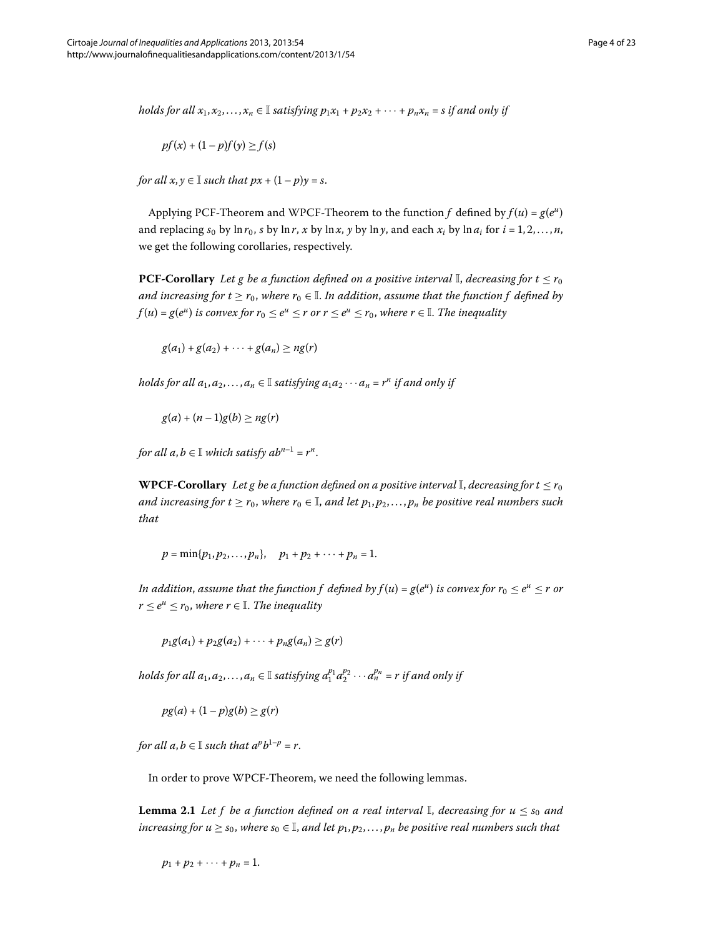*holds for all*  $x_1, x_2, \ldots, x_n \in \mathbb{I}$  *satisfying*  $p_1x_1 + p_2x_2 + \cdots + p_nx_n = s$  *if and only if* 

$$
pf(x) + (1 - p)f(y) \ge f(s)
$$

*for all*  $x, y \in \mathbb{I}$  *such that*  $px + (1 - p)y = s$ .

Applying PCF-Theorem and WPCF-Theorem to the function *f* defined by  $f(u) = g(e^u)$ and replacing  $s_0$  by  $\ln r_0$ , *s* by  $\ln r$ , *x* by  $\ln x$ , *y* by  $\ln y$ , and each  $x_i$  by  $\ln a_i$  for  $i = 1, 2, \ldots, n$ , we get the following corollaries, respectively.

**PCF-Corollary** *Let g be a function defined on a positive interval*  $\mathbb{I}$ , *decreasing for*  $t \leq r_0$ *and increasing for t*  $\geq$  *r*<sub>0</sub>, *where r*<sub>0</sub>  $\in$  *I*. *In addition, assume that the function f defined by f*(*u*) = *g*(*e*<sup>*u*</sup>) *is convex for*  $r_0 \le e^u \le r$  *or*  $r \le e^u \le r_0$ *, where*  $r \in \mathbb{I}$ *. The inequality* 

 $g(a_1) + g(a_2) + \cdots + g(a_n) > n g(r)$ 

*holds for all*  $a_1, a_2, \ldots, a_n \in \mathbb{I}$  *satisfying*  $a_1 a_2 \cdots a_n = r^n$  *if and only if* 

 $g(a) + (n-1)g(b) \ge n g(r)$ 

*for all*  $a, b \in \mathbb{I}$  *which satisfy*  $ab^{n-1} = r^n$ *.* 

**WPCF-Corollary** *Let g be a function defined on a positive interval*  $\mathbb{I}$ , *decreasing for*  $t \leq r_0$ *and increasing for t*  $\geq r_0$ , *where*  $r_0 \in \mathbb{I}$ , *and let*  $p_1, p_2, \ldots, p_n$  *be positive real numbers such that*

 $p = \min\{p_1, p_2, \ldots, p_n\}, \quad p_1 + p_2 + \cdots + p_n = 1.$ 

*In addition, assume that the function f defined by*  $f(u) = g(e^u)$  *is convex for*  $r_0 \le e^u \le r$  *or*  $r < e^u < r_0$ , where  $r \in \mathbb{I}$ . The inequality

 $p_1g(a_1) + p_2g(a_2) + \cdots + p_ng(a_n) \geq g(r)$ 

<span id="page-3-0"></span>*holds for all*  $a_1, a_2, ..., a_n \in \mathbb{I}$  *satisfying*  $a_1^{p_1}a_2^{p_2} \cdots a_n^{p_n} = r$  *if and only if* 

 $pg(a) + (1-p)g(b) \ge g(r)$ 

*for all a, b*  $\in$  *I such that*  $a^p b^{1-p} = r$ *.* 

In order to prove WPCF-Theorem, we need the following lemmas.

**Lemma 2.1** Let f be a function defined on a real interval  $\mathbb{I}$ , decreasing for  $u \leq s_0$  and *increasing for*  $u \geq s_0$ *, where*  $s_0 \in \mathbb{I}$ *, and let*  $p_1, p_2, \ldots, p_n$  *be positive real numbers such that* 

 $p_1 + p_2 + \cdots + p_n = 1.$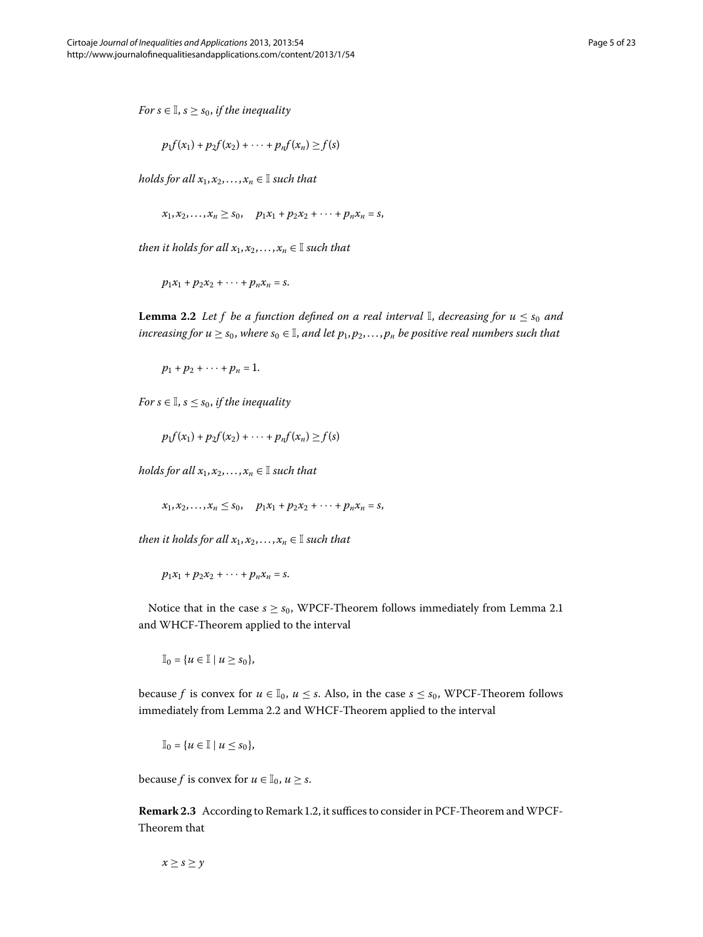*For*  $s \in \mathbb{I}$ ,  $s \geq s_0$ , *if the inequality* 

$$
p_1f(x_1)+p_2f(x_2)+\cdots+p_nf(x_n)\geq f(s)
$$

<span id="page-4-0"></span>*holds for all*  $x_1, x_2, ..., x_n \in \mathbb{I}$  *such that* 

 $x_1, x_2, \ldots, x_n \ge s_0$ ,  $p_1x_1 + p_2x_2 + \cdots + p_nx_n = s$ ,

*then it holds for all*  $x_1, x_2, \ldots, x_n \in \mathbb{I}$  *such that* 

 $p_1x_1 + p_2x_2 + \cdots + p_nx_n = s.$ 

**Lemma 2.2** Let f be a function defined on a real interval  $\mathbb{I}$ , decreasing for  $u \leq s_0$  and *increasing for*  $u \geq s_0$ *, where*  $s_0 \in \mathbb{I}$ , *and let*  $p_1, p_2, \ldots, p_n$  *be positive real numbers such that* 

 $p_1 + p_2 + \cdots + p_n = 1.$ 

*For*  $s \in \mathbb{I}$ ,  $s \leq s_0$ , *if the inequality* 

 $p_1 f(x_1) + p_2 f(x_2) + \cdots + p_n f(x_n) \ge f(s)$ 

*holds for all*  $x_1, x_2, ..., x_n \in \mathbb{I}$  *such that* 

 $x_1, x_2, \ldots, x_n \leq s_0$ ,  $p_1x_1 + p_2x_2 + \cdots + p_nx_n = s$ ,

*then it holds for all*  $x_1, x_2, \ldots, x_n \in \mathbb{I}$  *such that* 

 $p_1x_1 + p_2x_2 + \cdots + p_nx_n = s.$ 

Notice that in the case  $s \geq s_0$ , WPCF-Theorem follows immediately from Lemma 2[.](#page-3-0)1 and WHCF-Theorem applied to the interval

 $\mathbb{I}_0 = \{u \in \mathbb{I} \mid u \geq s_0\},\$ 

<span id="page-4-1"></span>because *f* is convex for  $u \in I_0$ ,  $u \leq s$ . Also, in the case  $s \leq s_0$ , WPCF-Theorem follows immediately from Lemma 2[.](#page-4-0)2 and WHCF-Theorem applied to the interval

$$
\mathbb{I}_0 = \{u \in \mathbb{I} \mid u \leq s_0\},\
$$

because *f* is convex for  $u \in I_0$ ,  $u \geq s$ .

**Remark 2.3** According to Remark 1.2, it suffices to consider in PCF-Theorem and WPCF-Theorem that

 $x \geq s \geq y$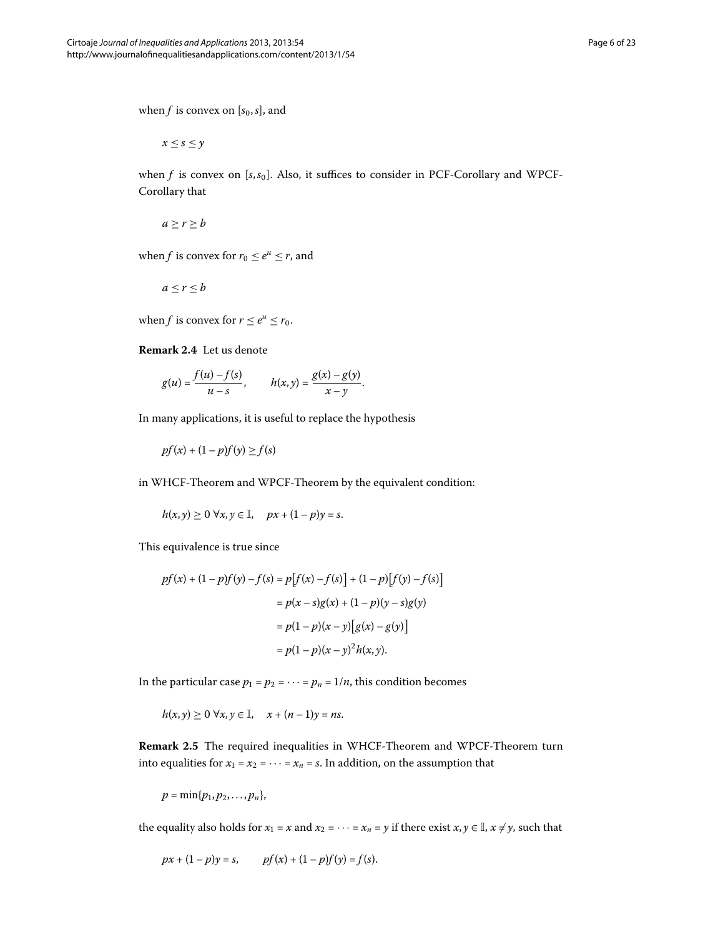when *f* is convex on  $[s_0, s]$ , and

 $x < s < y$ 

when *f* is convex on [s, s<sub>0</sub>]. Also, it suffices to consider in PCF-Corollary and WPCF-Corollary that

 $a \geq r \geq b$ 

<span id="page-5-0"></span>when *f* is convex for  $r_0 \le e^u \le r$ , and

$$
a\leq r\leq b
$$

when *f* is convex for  $r \le e^u \le r_0$ .

**Remark 2.4** Let us denote

$$
g(u) = \frac{f(u) - f(s)}{u - s}, \qquad h(x, y) = \frac{g(x) - g(y)}{x - y}.
$$

In many applications, it is useful to replace the hypothesis

 $pf(x) + (1 - p)f(y) \ge f(s)$ 

in WHCF-Theorem and WPCF-Theorem by the equivalent condition:

$$
h(x, y) \geq 0 \ \forall x, y \in \mathbb{I}, \quad px + (1 - p)y = s.
$$

This equivalence is true since

$$
pf(x) + (1 - p)f(y) - f(s) = p[f(x) - f(s)] + (1 - p)[f(y) - f(s)]
$$
  
=  $p(x - s)g(x) + (1 - p)(y - s)g(y)$   
=  $p(1 - p)(x - y)[g(x) - g(y)]$   
=  $p(1 - p)(x - y)^{2}h(x, y).$ 

In the particular case  $p_1 = p_2 = \cdots = p_n = 1/n$ , this condition becomes

$$
h(x, y) \geq 0 \ \forall x, y \in \mathbb{I}, \quad x + (n-1)y = ns.
$$

**Remark 2.5** The required inequalities in WHCF-Theorem and WPCF-Theorem turn into equalities for  $x_1 = x_2 = \cdots = x_n = s$ . In addition, on the assumption that

$$
p=\min\{p_1,p_2,\ldots,p_n\},\,
$$

the equality also holds for  $x_1 = x$  and  $x_2 = \cdots = x_n = y$  if there exist  $x, y \in \mathbb{I}, x \neq y$ , such that

$$
px + (1-p)y = s
$$
,  $pf(x) + (1-p)f(y) = f(s)$ .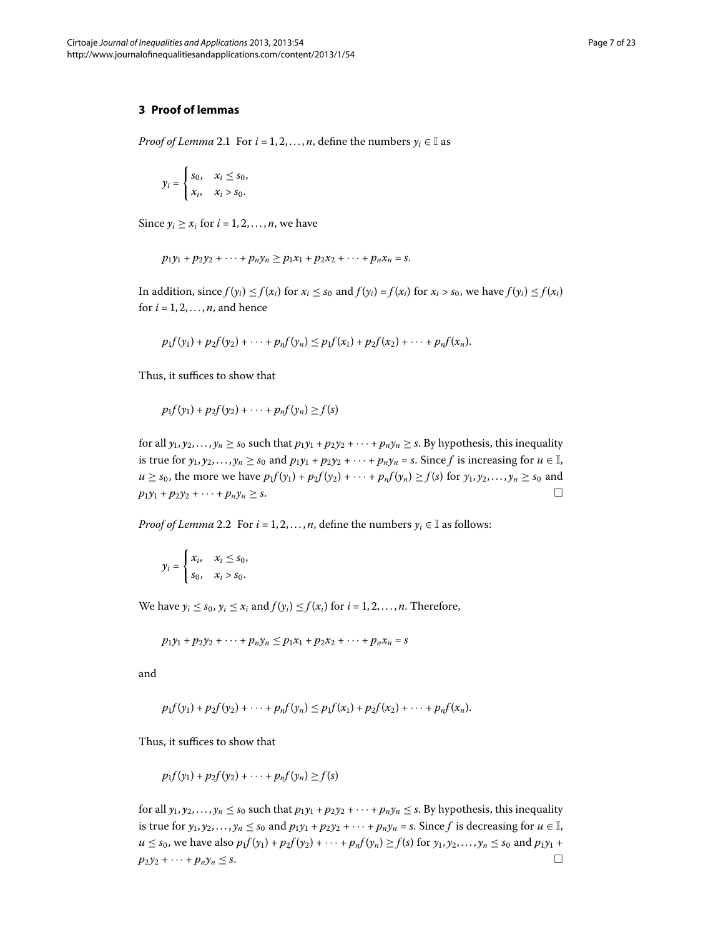#### **3 Proof of lemmas**

*Proof of Lemma* 2[.](#page-3-0)1 For  $i = 1, 2, ..., n$ , define the numbers  $\gamma_i \in \mathbb{I}$  as

$$
y_i = \begin{cases} s_0, & x_i \le s_0, \\ x_i, & x_i > s_0. \end{cases}
$$

Since  $y_i \ge x_i$  for  $i = 1, 2, ..., n$ , we have

$$
p_1y_1 + p_2y_2 + \cdots + p_ny_n \ge p_1x_1 + p_2x_2 + \cdots + p_nx_n = s.
$$

In addition, since  $f(y_i) \leq f(x_i)$  for  $x_i \leq s_0$  and  $f(y_i) = f(x_i)$  for  $x_i > s_0$ , we have  $f(y_i) \leq f(x_i)$ for  $i = 1, 2, \ldots, n$ , and hence

$$
p_1f(y_1)+p_2f(y_2)+\cdots+p_nf(y_n)\leq p_1f(x_1)+p_2f(x_2)+\cdots+p_nf(x_n).
$$

Thus, it suffices to show that

$$
p_1f(y_1)+p_2f(y_2)+\cdots+p_nf(y_n)\geq f(s)
$$

for all  $y_1, y_2,..., y_n \ge s_0$  such that  $p_1y_1 + p_2y_2 + \cdots + p_ny_n \ge s$ . By hypothesis, this inequality is true for  $y_1, y_2,..., y_n \ge s_0$  and  $p_1y_1 + p_2y_2 + \cdots + p_ny_n = s$ . Since *f* is increasing for  $u \in \mathbb{I}$ , *u* ≥ *s*<sub>0</sub>, the more we have  $p_1 f(y_1) + p_2 f(y_2) + \cdots + p_n f(y_n) ≥ f(s)$  for  $y_1, y_2, \ldots, y_n ≥ s_0$  and  $p_1y_1 + p_2y_2 + \cdots + p_ny_n \geq s.$ 

*Proof of Lemma* 2[.](#page-4-0)2 For  $i = 1, 2, ..., n$ , define the numbers  $y_i \in \mathbb{I}$  as follows:

$$
y_i = \begin{cases} x_i, & x_i \leq s_0, \\ s_0, & x_i > s_0. \end{cases}
$$

We have  $y_i \leq s_0$ ,  $y_i \leq x_i$  and  $f(y_i) \leq f(x_i)$  for  $i = 1, 2, ..., n$ . Therefore,

$$
p_1y_1 + p_2y_2 + \cdots + p_ny_n \leq p_1x_1 + p_2x_2 + \cdots + p_nx_n = s
$$

and

$$
p_1f(y_1)+p_2f(y_2)+\cdots+p_nf(y_n)\leq p_1f(x_1)+p_2f(x_2)+\cdots+p_nf(x_n).
$$

Thus, it suffices to show that

$$
p_1f(y_1)+p_2f(y_2)+\cdots+p_nf(y_n)\geq f(s)
$$

for all  $y_1, y_2,..., y_n \leq s_0$  such that  $p_1y_1 + p_2y_2 + \cdots + p_ny_n \leq s$ . By hypothesis, this inequality is true for  $y_1, y_2, \ldots, y_n \leq s_0$  and  $p_1y_1 + p_2y_2 + \cdots + p_ny_n = s$ . Since *f* is decreasing for  $u \in \mathbb{I}$ ,  $u \le s_0$ , we have also  $p_1 f(y_1) + p_2 f(y_2) + \cdots + p_n f(y_n) \ge f(s)$  for  $y_1, y_2, \ldots, y_n \le s_0$  and  $p_1 y_1 + p_2 y_2 + \cdots + p_n y_n$  $p_2y_2 + \cdots + p_ny_n \leq s.$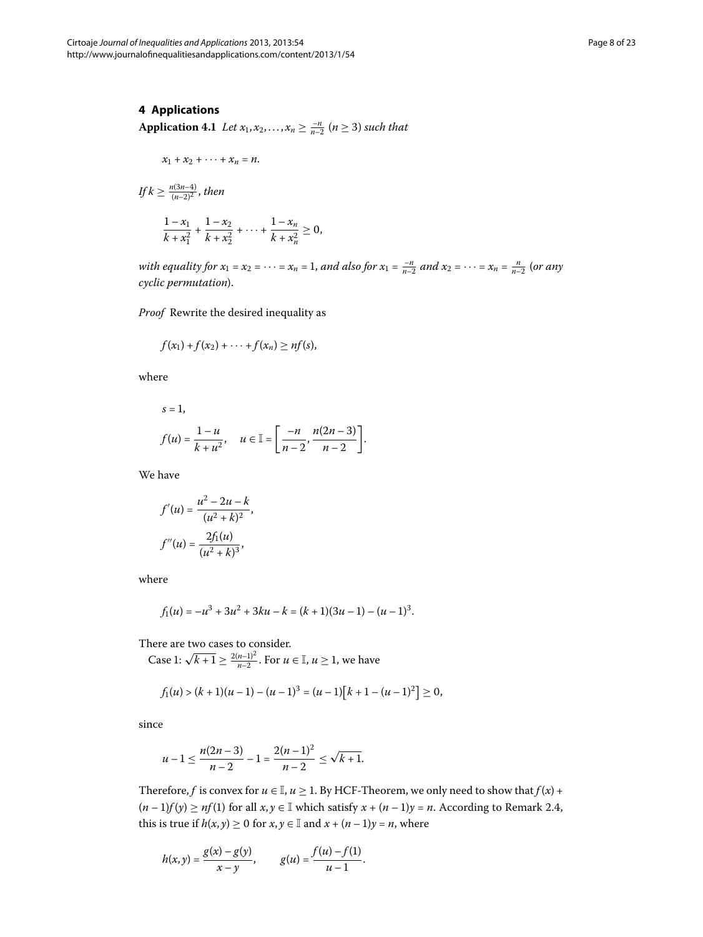#### **4 Applications**

**Application 4.1** Let  $x_1, x_2, ..., x_n \ge \frac{-n}{n-2}$  ( $n \ge 3$ ) such that

$$
x_1 + x_2 + \cdots + x_n = n.
$$

$$
If k \ge \frac{n(3n-4)}{(n-2)^2}, then
$$
  

$$
\frac{1-x_1}{k+x_1^2} + \frac{1-x_2}{k+x_2^2} + \dots + \frac{1-x_n}{k+x_n^2} \ge 0,
$$

*with equality for*  $x_1 = x_2 = \cdots = x_n = 1$ , and also for  $x_1 = \frac{-n}{n-2}$  and  $x_2 = \cdots = x_n = \frac{n}{n-2}$  (or any *cyclic permutation*).

*Proof* Rewrite the desired inequality as

$$
f(x_1)+f(x_2)+\cdots+f(x_n)\geq nf(s),
$$

where

$$
s = 1,
$$
  
\n $f(u) = \frac{1 - u}{k + u^2}, \quad u \in \mathbb{I} = \left[\frac{-n}{n - 2}, \frac{n(2n - 3)}{n - 2}\right].$ 

We have

$$
f'(u) = \frac{u^2 - 2u - k}{(u^2 + k)^2},
$$

$$
f''(u) = \frac{2f_1(u)}{(u^2 + k)^3},
$$

where

$$
f_1(u) = -u^3 + 3u^2 + 3ku - k = (k+1)(3u-1) - (u-1)^3.
$$

There are two cases to consider.

Case 1:  $\sqrt{k+1} \ge \frac{2(n-1)^2}{n-2}$ . For  $u \in \mathbb{I}$ ,  $u \ge 1$ , we have

$$
f_1(u) > (k+1)(u-1) - (u-1)^3 = (u-1)[k+1-(u-1)^2] \ge 0,
$$

since

$$
u-1 \le \frac{n(2n-3)}{n-2} - 1 = \frac{2(n-1)^2}{n-2} \le \sqrt{k+1}.
$$

Therefore, *f* is convex for  $u \in I$ ,  $u \ge 1$ . By HCF-Theorem, we only need to show that  $f(x)$  +  $(n-1)f(y) \ge nf(1)$  for all  $x, y \in \mathbb{I}$  which satisfy  $x + (n-1)y = n$ . According to Remark 2.4, this is true if  $h(x, y) \ge 0$  for  $x, y \in \mathbb{I}$  and  $x + (n-1)y = n$ , where

$$
h(x,y) = \frac{g(x) - g(y)}{x - y}, \qquad g(u) = \frac{f(u) - f(1)}{u - 1}.
$$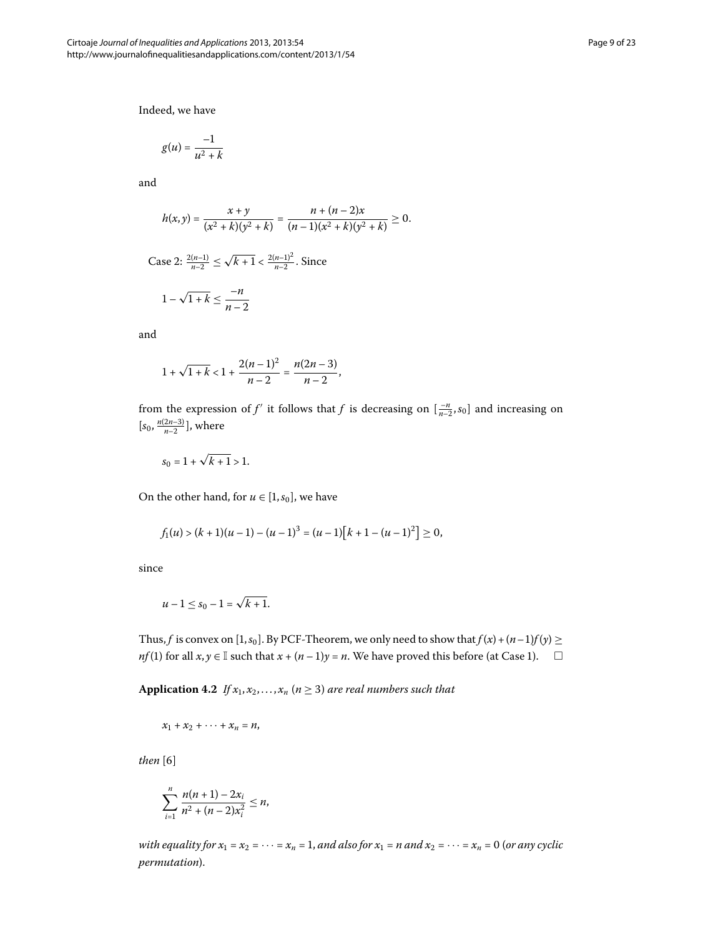Indeed, we have

$$
g(u) = \frac{-1}{u^2 + k}
$$

and

$$
h(x,y)=\frac{x+y}{(x^2+k)(y^2+k)}=\frac{n+(n-2)x}{(n-1)(x^2+k)(y^2+k)}\geq 0.
$$

Case 2:  $\frac{2(n-1)}{n-2} \le \sqrt{k+1} < \frac{2(n-1)^2}{n-2}$ . Since

$$
1-\sqrt{1+k} \leq \frac{-n}{n-2}
$$

and

$$
1 + \sqrt{1 + k} < 1 + \frac{2(n-1)^2}{n-2} = \frac{n(2n-3)}{n-2},
$$

from the expression of *f'* it follows that *f* is decreasing on  $\left[\frac{-n}{n-2}, s_0\right]$  and increasing on  $[s_0, \frac{n(2n-3)}{n-2}]$ , where

$$
s_0 = 1 + \sqrt{k+1} > 1.
$$

On the other hand, for  $u \in [1, s_0]$ , we have

$$
f_1(u) > (k+1)(u-1) - (u-1)^3 = (u-1)[k+1-(u-1)^2] \ge 0,
$$

since

$$
u-1\leq s_0-1=\sqrt{k+1}.
$$

Thus, *f* is convex on [1, *s*<sub>0</sub>]. By PCF-Theorem, we only need to show that  $f(x) + (n-1)f(y) \ge$ *nf* (1) for all *x*, *y* ∈ I such that *x* +  $(n-1)y = n$ . We have proved this before (at Case 1).  $\Box$ 

**Application 4.2** *If*  $x_1, x_2, ..., x_n$  ( $n \ge 3$ ) *are real numbers such that* 

$$
x_1 + x_2 + \cdots + x_n = n,
$$

 $then [6]$ 

$$
\sum_{i=1}^n \frac{n(n+1)-2x_i}{n^2+(n-2)x_i^2} \leq n,
$$

*with equality for*  $x_1 = x_2 = \cdots = x_n = 1$ , *and also for*  $x_1 = n$  *and*  $x_2 = \cdots = x_n = 0$  (*or any cyclic permutation*).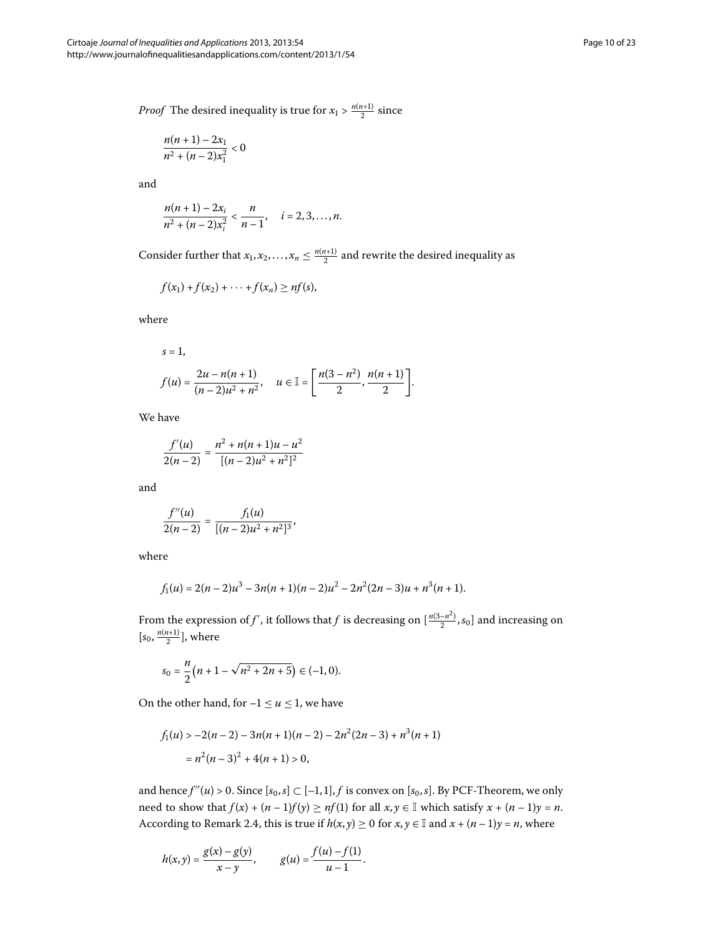*Proof* The desired inequality is true for  $x_1 > \frac{n(n+1)}{2}$  since

$$
\frac{n(n+1)-2x_1}{n^2+(n-2)x_1^2}<0
$$

and

$$
\frac{n(n+1)-2x_i}{n^2+(n-2)x_i^2}<\frac{n}{n-1}, \quad i=2,3,\ldots,n.
$$

Consider further that  $x_1, x_2, ..., x_n \leq \frac{n(n+1)}{2}$  and rewrite the desired inequality as

$$
f(x_1)+f(x_2)+\cdots+f(x_n)\geq nf(s),
$$

where

$$
s = 1,
$$
  
\n
$$
f(u) = \frac{2u - n(n+1)}{(n-2)u^2 + n^2}, \quad u \in \mathbb{I} = \left[\frac{n(3-n^2)}{2}, \frac{n(n+1)}{2}\right].
$$

We have

$$
\frac{f'(u)}{2(n-2)} = \frac{n^2 + n(n+1)u - u^2}{[(n-2)u^2 + n^2]^2}
$$

and

$$
\frac{f''(u)}{2(n-2)}=\frac{f_1(u)}{[(n-2)u^2+n^2]^3},
$$

where

$$
f_1(u) = 2(n-2)u^3 - 3n(n+1)(n-2)u^2 - 2n^2(2n-3)u + n^3(n+1).
$$

From the expression of  $f'$ , it follows that  $f$  is decreasing on  $[\frac{n(3-n^2)}{2}, s_0]$  and increasing on  $[s_0, \frac{n(n+1)}{2}]$ , where

$$
s_0 = \frac{n}{2}(n+1-\sqrt{n^2+2n+5}) \in (-1,0).
$$

On the other hand, for  $-1 \le u \le 1$ , we have

$$
f_1(u) > -2(n-2) - 3n(n+1)(n-2) - 2n^2(2n-3) + n^3(n+1)
$$
  
=  $n^2(n-3)^2 + 4(n+1) > 0$ ,

and hence  $f''(u) > 0$ . Since  $[s_0, s] \subset [-1, 1]$ , f is convex on  $[s_0, s]$ . By PCF-Theorem, we only need to show that  $f(x) + (n-1)f(y) \ge nf(1)$  for all  $x, y \in \mathbb{I}$  which satisfy  $x + (n-1)y = n$ . According to Remark 2[.](#page-5-0)4, this is true if  $h(x, y) \ge 0$  for  $x, y \in \mathbb{I}$  and  $x + (n-1)y = n$ , where

$$
h(x,y) = \frac{g(x) - g(y)}{x - y}, \qquad g(u) = \frac{f(u) - f(1)}{u - 1}.
$$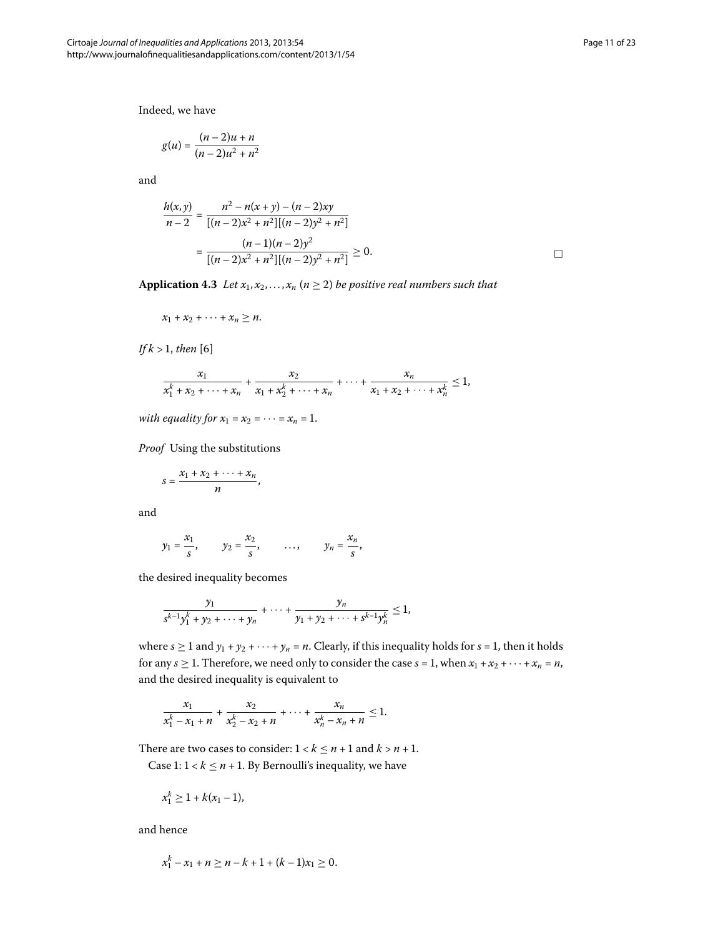Indeed, we have

$$
g(u) = \frac{(n-2)u + n}{(n-2)u^2 + n^2}
$$

and

$$
\frac{h(x,y)}{n-2} = \frac{n^2 - n(x+y) - (n-2)xy}{[(n-2)x^2 + n^2][(n-2)y^2 + n^2]}
$$

$$
= \frac{(n-1)(n-2)y^2}{[(n-2)x^2 + n^2][(n-2)y^2 + n^2]} \ge 0.
$$

**Application 4.3** Let  $x_1, x_2, ..., x_n$  ( $n \ge 2$ ) be positive real numbers such that

$$
x_1 + x_2 + \cdots + x_n \geq n.
$$

*If*  $k > 1$ *, then* [6]

$$
\frac{x_1}{x_1^k + x_2 + \dots + x_n} + \frac{x_2}{x_1 + x_2^k + \dots + x_n} + \dots + \frac{x_n}{x_1 + x_2 + \dots + x_n^k} \le 1,
$$

*with equality for*  $x_1 = x_2 = \cdots = x_n = 1$ .

*Proof* Using the substitutions

$$
s=\frac{x_1+x_2+\cdots+x_n}{n},
$$

and

$$
y_1 = \frac{x_1}{s}
$$
,  $y_2 = \frac{x_2}{s}$ , ...,  $y_n = \frac{x_n}{s}$ ,

the desired inequality becomes

$$
\frac{y_1}{s^{k-1}y_1^k + y_2 + \cdots + y_n} + \cdots + \frac{y_n}{y_1 + y_2 + \cdots + s^{k-1}y_n^k} \le 1,
$$

where  $s \ge 1$  and  $y_1 + y_2 + \cdots + y_n = n$ . Clearly, if this inequality holds for  $s = 1$ , then it holds for any *s*  $\geq$  1. Therefore, we need only to consider the case *s* = 1, when  $x_1 + x_2 + \cdots + x_n = n$ , and the desired inequality is equivalent to

$$
\frac{x_1}{x_1^k - x_1 + n} + \frac{x_2}{x_2^k - x_2 + n} + \dots + \frac{x_n}{x_n^k - x_n + n} \le 1.
$$

There are two cases to consider:  $1 < k \le n + 1$  and  $k > n + 1$ .

Case 1:  $1 < k \le n + 1$ . By Bernoulli's inequality, we have

$$
x_1^k \geq 1 + k(x_1 - 1),
$$

and hence

$$
x_1^k - x_1 + n \ge n - k + 1 + (k - 1)x_1 \ge 0.
$$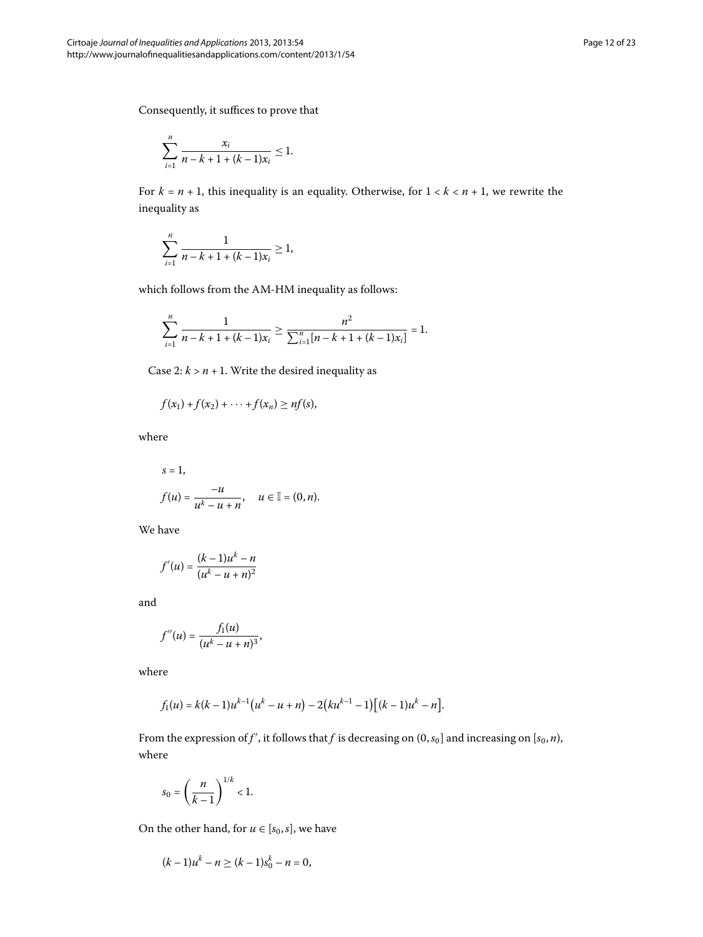Consequently, it suffices to prove that

$$
\sum_{i=1}^n \frac{x_i}{n-k+1+(k-1)x_i} \leq 1.
$$

For  $k = n + 1$ , this inequality is an equality. Otherwise, for  $1 < k < n + 1$ , we rewrite the inequality as

$$
\sum_{i=1}^n \frac{1}{n-k+1+(k-1)x_i} \ge 1,
$$

which follows from the AM-HM inequality as follows:

$$
\sum_{i=1}^{n} \frac{1}{n-k+1+(k-1)x_i} \ge \frac{n^2}{\sum_{i=1}^{n} [n-k+1+(k-1)x_i]} = 1.
$$

Case  $2: k > n + 1$ . Write the desired inequality as

$$
f(x_1)+f(x_2)+\cdots+f(x_n)\geq nf(s),
$$

where

$$
s = 1,
$$
  

$$
f(u) = \frac{-u}{u^k - u + n}, \quad u \in \mathbb{I} = (0, n).
$$

We have

$$
f'(u) = \frac{(k-1)u^k - n}{(u^k - u + n)^2}
$$

and

$$
f''(u) = \frac{f_1(u)}{(u^k - u + n)^3},
$$

where

$$
f_1(u) = k(k-1)u^{k-1}(u^k - u + n) - 2(ku^{k-1} - 1)[(k-1)u^k - n].
$$

From the expression of  $f'$  , it follows that  $f$  is decreasing on  $(0,s_0]$  and increasing on  $[s_0,n),$ where

$$
s_0=\left(\frac{n}{k-1}\right)^{1/k}<1.
$$

On the other hand, for  $u \in [s_0, s]$ , we have

$$
(k-1)u^k - n \ge (k-1)s_0^k - n = 0,
$$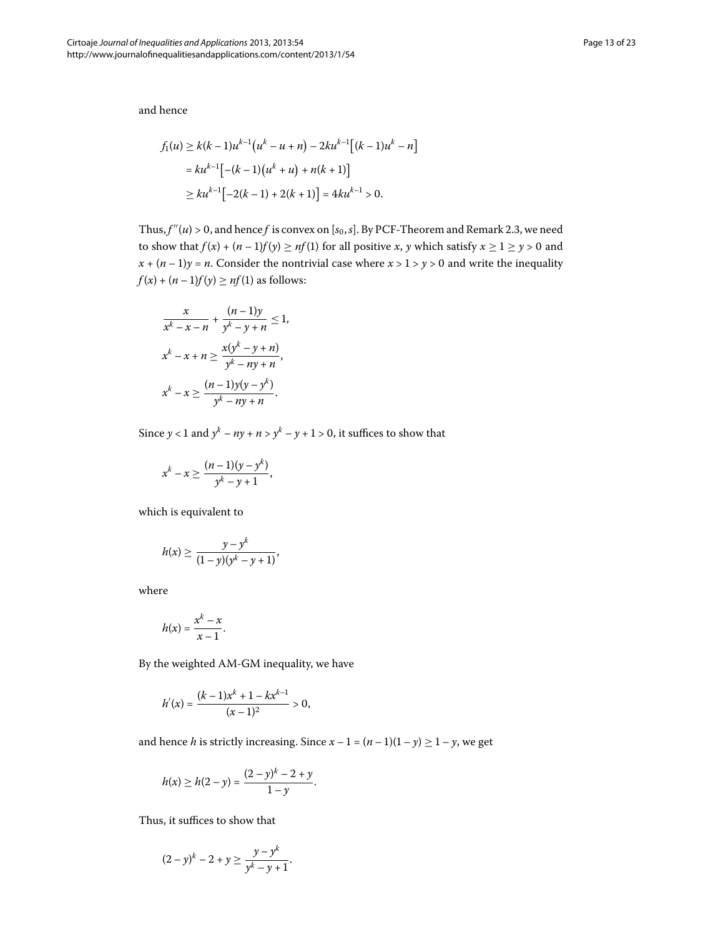and hence

$$
f_1(u) \ge k(k-1)u^{k-1}(u^k - u + n) - 2ku^{k-1}[(k-1)u^k - n]
$$
  
=  $ku^{k-1}[-(k-1)(u^k + u) + n(k+1)]$   
 $\ge ku^{k-1}[-2(k-1) + 2(k+1)] = 4ku^{k-1} > 0.$ 

Thus,  $f''(u) > 0$ , and hence f is convex on  $[s_0, s]$ . By PCF-Theorem and Remark 2.3, we need to show that  $f(x) + (n-1)f(y) \ge nf(1)$  for all positive *x*, *y* which satisfy  $x \ge 1 \ge y > 0$  and  $x + (n-1)y = n$ . Consider the nontrivial case where  $x > 1 > y > 0$  and write the inequality  $f(x) + (n-1)f(y) \ge nf(1)$  as follows:

$$
\frac{x}{x^k - x - n} + \frac{(n-1)y}{y^k - y + n} \le 1,
$$
  

$$
x^k - x + n \ge \frac{x(y^k - y + n)}{y^k - ny + n},
$$
  

$$
x^k - x \ge \frac{(n-1)y(y - y^k)}{y^k - ny + n}.
$$

Since  $y < 1$  and  $y^k - ny + n > y^k - y + 1 > 0$ , it suffices to show that

$$
x^{k} - x \ge \frac{(n-1)(y - y^{k})}{y^{k} - y + 1},
$$

which is equivalent to

$$
h(x) \ge \frac{y - y^{k}}{(1 - y)(y^{k} - y + 1)},
$$

where

$$
h(x)=\frac{x^k-x}{x-1}.
$$

By the weighted AM-GM inequality, we have

$$
h'(x) = \frac{(k-1)x^{k} + 1 - kx^{k-1}}{(x-1)^{2}} > 0,
$$

and hence *h* is strictly increasing. Since  $x - 1 = (n - 1)(1 - y) \ge 1 - y$ , we get

$$
h(x) \ge h(2 - y) = \frac{(2 - y)^{k} - 2 + y}{1 - y}.
$$

Thus, it suffices to show that

$$
(2-y)^{k}-2+y \geq \frac{y-y^{k}}{y^{k}-y+1}.
$$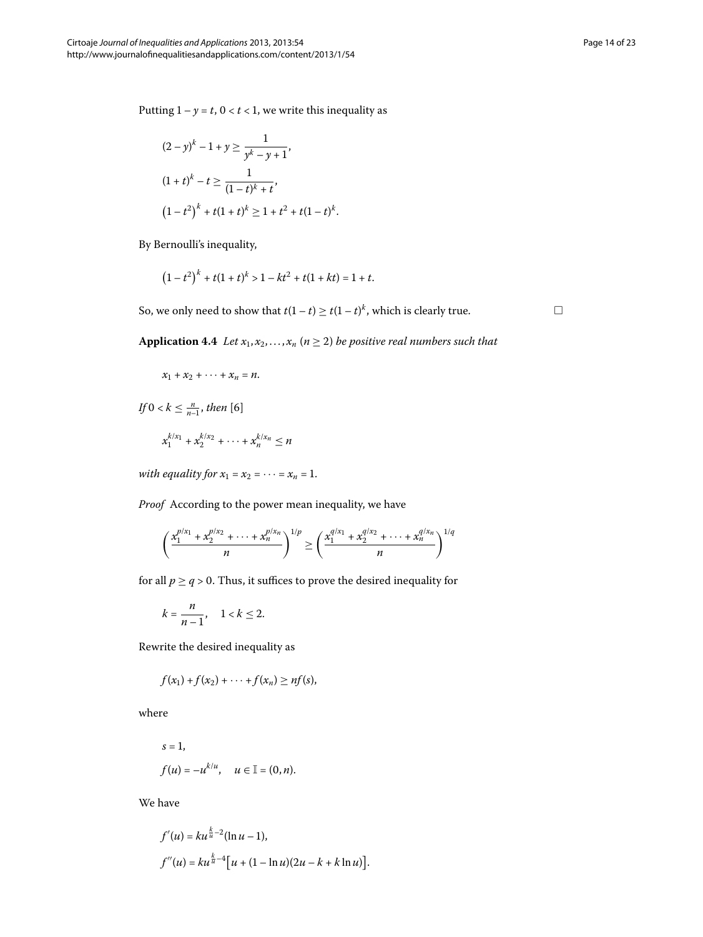Putting  $1 - y = t$ ,  $0 < t < 1$ , we write this inequality as

$$
(2 - y)^{k} - 1 + y \ge \frac{1}{y^{k} - y + 1},
$$
  
\n
$$
(1 + t)^{k} - t \ge \frac{1}{(1 - t)^{k} + t},
$$
  
\n
$$
(1 - t^{2})^{k} + t(1 + t)^{k} \ge 1 + t^{2} + t(1 - t)^{k}.
$$

By Bernoulli's inequality,

$$
(1-t^2)^k + t(1+t)^k > 1 - kt^2 + t(1+kt) = 1+t.
$$

So, we only need to show that  $t(1-t) \ge t(1-t)^k$ , which is clearly true.

**Application 4.4** *Let*  $x_1, x_2, ..., x_n$  ( $n \ge 2$ ) *be positive real numbers such that* 

$$
x_1 + x_2 + \cdots + x_n = n.
$$

*If*  $0 < k \leq \frac{n}{n-1}$ , then [\[](#page-22-5)6]

$$
x_1^{k/x_1} + x_2^{k/x_2} + \cdots + x_n^{k/x_n} \le n
$$

*with equality for*  $x_1 = x_2 = \cdots = x_n = 1$ .

*Proof* According to the power mean inequality, we have

$$
\left(\frac{x_1^{p/x_1} + x_2^{p/x_2} + \dots + x_n^{p/x_n}}{n}\right)^{1/p} \ge \left(\frac{x_1^{q/x_1} + x_2^{q/x_2} + \dots + x_n^{q/x_n}}{n}\right)^{1/q}
$$

for all  $p \geq q > 0$ . Thus, it suffices to prove the desired inequality for

$$
k=\frac{n}{n-1}, \quad 1 < k \leq 2.
$$

Rewrite the desired inequality as

$$
f(x_1)+f(x_2)+\cdots+f(x_n)\geq nf(s),
$$

where

$$
s = 1,
$$
  

$$
f(u) = -u^{k/u}, \quad u \in \mathbb{I} = (0, n).
$$

We have

$$
f'(u) = ku^{\frac{k}{u}-2}(\ln u - 1),
$$
  

$$
f''(u) = ku^{\frac{k}{u}-4}[u + (1 - \ln u)(2u - k + k \ln u)].
$$

 $\Box$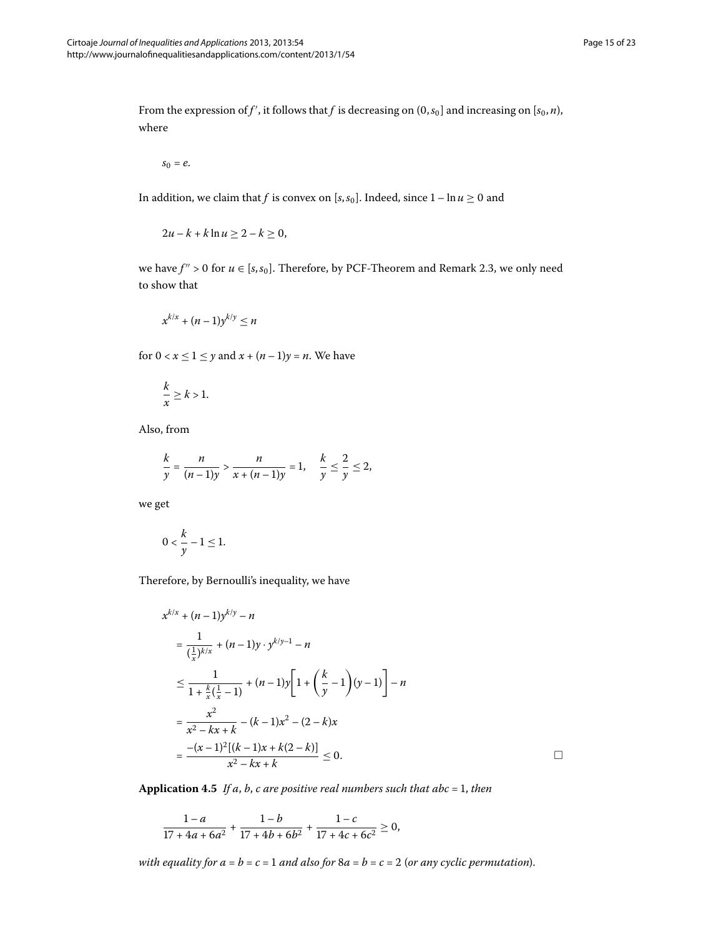From the expression of  $f'$  , it follows that  $f$  is decreasing on  $(0, s_0]$  and increasing on  $[s_0, n)$ , where

$$
s_0=e.
$$

In addition, we claim that *f* is convex on [ $s$ , $s$ <sub>0</sub>]. Indeed, since  $1 - \ln u \ge 0$  and

$$
2u-k+k\ln u\geq 2-k\geq 0,
$$

we have  $f'' > 0$  for  $u \in [s, s_0]$ . Therefore, by PCF-Theorem and Remark 2.3, we only need to show that

$$
x^{k/x} + (n-1)y^{k/y} \le n
$$

for  $0 < x \le 1 \le y$  and  $x + (n-1)y = n$ . We have

$$
\frac{k}{x} \ge k > 1.
$$

Also, from

$$
\frac{k}{y} = \frac{n}{(n-1)y} > \frac{n}{x + (n-1)y} = 1, \quad \frac{k}{y} \le \frac{2}{y} \le 2,
$$

we get

$$
0 < \frac{k}{y} - 1 \le 1.
$$

Therefore, by Bernoulli's inequality, we have

$$
x^{k/x} + (n-1)y^{k/y} - n
$$
  
=  $\frac{1}{(\frac{1}{x})^{k/x}} + (n-1)y \cdot y^{k/y-1} - n$   
 $\leq \frac{1}{1 + \frac{k}{x}(\frac{1}{x} - 1)} + (n-1)y \left[ 1 + \left( \frac{k}{y} - 1 \right) (y - 1) \right] - n$   
=  $\frac{x^2}{x^2 - kx + k} - (k-1)x^2 - (2 - k)x$   
=  $\frac{-(x-1)^2[(k-1)x + k(2-k)]}{x^2 - kx + k} \leq 0.$ 

**Application 4.5** If a, b, c are positive real numbers such that abc = 1, then

$$
\frac{1-a}{17+4a+6a^2} + \frac{1-b}{17+4b+6b^2} + \frac{1-c}{17+4c+6c^2} \ge 0,
$$

*with equality for*  $a = b = c = 1$  *and also for*  $8a = b = c = 2$  (*or any cyclic permutation*).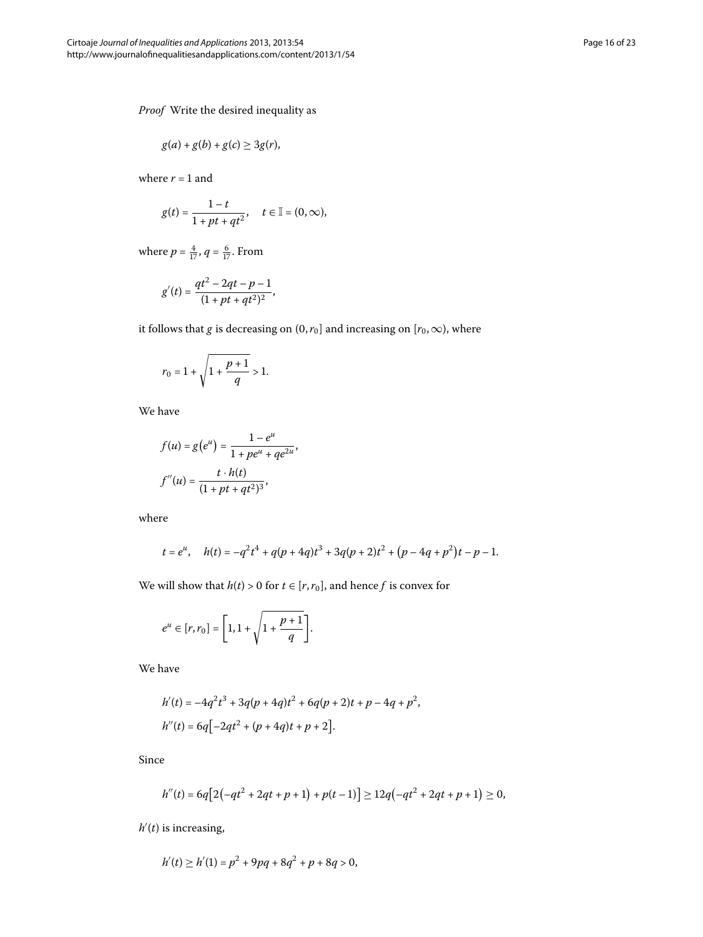*Proof* Write the desired inequality as

$$
g(a) + g(b) + g(c) \geq 3g(r),
$$

where  $r = 1$  and

$$
g(t)=\frac{1-t}{1+pt+qt^2},\quad t\in\mathbb{I}=(0,\infty),
$$

where  $p = \frac{4}{17}$ ,  $q = \frac{6}{17}$ . From

$$
g'(t) = \frac{qt^2 - 2qt - p - 1}{(1 + pt + qt^2)^2},
$$

it follows that *g* is decreasing on (0, $r_0$ ) and increasing on [ $r_0$ ,  $\infty$ ), where

$$
r_0=1+\sqrt{1+\frac{p+1}{q}}>1.
$$

We have

$$
f(u) = g(e^{u}) = \frac{1 - e^{u}}{1 + pe^{u} + qe^{2u}},
$$

$$
f''(u) = \frac{t \cdot h(t)}{(1 + pt + qt^{2})^{3}},
$$

where

$$
t = e^u
$$
,  $h(t) = -q^2t^4 + q(p+4q)t^3 + 3q(p+2)t^2 + (p-4q+p^2)t - p-1$ .

We will show that  $h(t) > 0$  for  $t \in [r, r_0]$ , and hence *f* is convex for

$$
e^{u} \in [r, r_{0}] = \left[1, 1 + \sqrt{1 + \frac{p+1}{q}}\right].
$$

We have

$$
h'(t) = -4q^{2}t^{3} + 3q(p+4q)t^{2} + 6q(p+2)t + p - 4q + p^{2},
$$
  

$$
h''(t) = 6q[-2qt^{2} + (p+4q)t + p + 2].
$$

Since

$$
h''(t) = 6q[2(-qt^2+2qt+p+1)+p(t-1)] \ge 12q(-qt^2+2qt+p+1) \ge 0,
$$

*h* (*t*) is increasing,

$$
h'(t) \ge h'(1) = p^2 + 9pq + 8q^2 + p + 8q > 0,
$$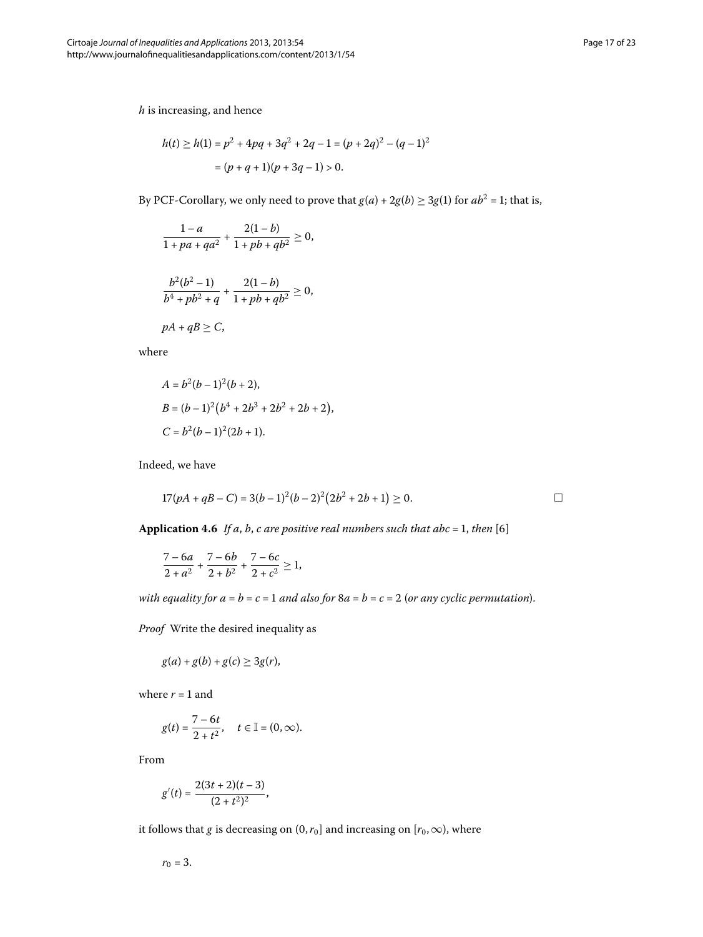*h* is increasing, and hence

$$
h(t) \ge h(1) = p^2 + 4pq + 3q^2 + 2q - 1 = (p + 2q)^2 - (q - 1)^2
$$

$$
= (p + q + 1)(p + 3q - 1) > 0.
$$

By PCF-Corollary, we only need to prove that  $g(a) + 2g(b) \ge 3g(1)$  for  $ab^2 = 1$ ; that is,

$$
\frac{1-a}{1+pa+qa^2} + \frac{2(1-b)}{1+pb+qb^2} \ge 0,
$$

$$
\frac{b^2(b^2-1)}{b^4 + pb^2 + q} + \frac{2(1-b)}{1 + pb + qb^2} \ge 0,
$$
  
 
$$
pA + qB \ge C,
$$

where

$$
A = b2(b-1)2(b+2),
$$
  
\n
$$
B = (b-1)2(b4 + 2b3 + 2b2 + 2b + 2),
$$
  
\n
$$
C = b2(b-1)2(2b+1).
$$

Indeed, we have

$$
17(pA + qB - C) = 3(b-1)^{2}(b-2)^{2}(2b^{2} + 2b + 1) \ge 0.
$$

**Application 4.6** If a, b, c are positive real numbers such that abc = 1, then [\[](#page-22-5)6]

$$
\frac{7-6a}{2+a^2} + \frac{7-6b}{2+b^2} + \frac{7-6c}{2+c^2} \ge 1,
$$

*with equality for*  $a = b = c = 1$  *and also for*  $8a = b = c = 2$  (*or any cyclic permutation*).

*Proof* Write the desired inequality as

$$
g(a) + g(b) + g(c) \geq 3g(r),
$$

where  $r = 1$  and

$$
g(t) = \frac{7-6t}{2+t^2}, \quad t \in \mathbb{I} = (0, \infty).
$$

From

$$
g'(t) = \frac{2(3t+2)(t-3)}{(2+t^2)^2},
$$

it follows that *g* is decreasing on  $(0, r_0]$  and increasing on  $[r_0, \infty)$ , where

$$
r_0=3.
$$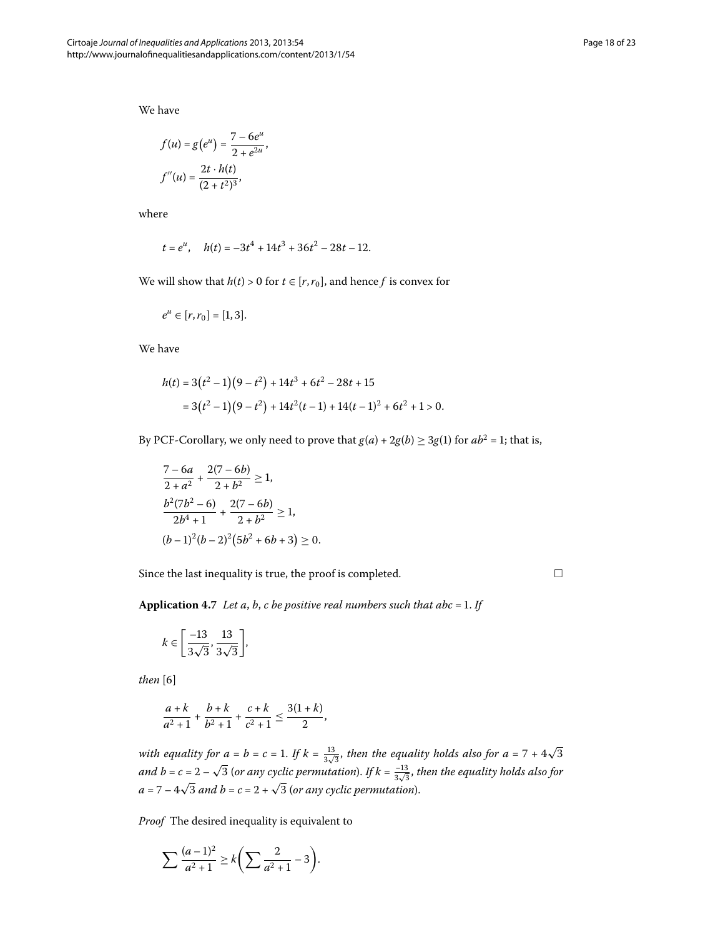We have

$$
f(u) = g(e^{u}) = \frac{7 - 6e^{u}}{2 + e^{2u}},
$$

$$
f''(u) = \frac{2t \cdot h(t)}{(2 + t^{2})^{3}},
$$

where

$$
t = e^u
$$
,  $h(t) = -3t^4 + 14t^3 + 36t^2 - 28t - 12$ .

We will show that  $h(t) > 0$  for  $t \in [r, r_0]$ , and hence *f* is convex for

$$
e^u \in [r, r_0] = [1, 3].
$$

We have

$$
h(t) = 3(t2 - 1)(9 - t2) + 14t3 + 6t2 - 28t + 15
$$
  
= 3(t<sup>2</sup> - 1)(9 - t<sup>2</sup>) + 14t<sup>2</sup>(t - 1) + 14(t - 1)<sup>2</sup> + 6t<sup>2</sup> + 1 > 0.

By PCF-Corollary, we only need to prove that  $g(a) + 2g(b) \ge 3g(1)$  for  $ab^2 = 1$ ; that is,

$$
\frac{7-6a}{2+a^2} + \frac{2(7-6b)}{2+b^2} \ge 1,
$$
  
\n
$$
\frac{b^2(7b^2-6)}{2b^4+1} + \frac{2(7-6b)}{2+b^2} \ge 1,
$$
  
\n
$$
(b-1)^2(b-2)^2(5b^2+6b+3) \ge 0.
$$

Since the last inequality is true, the proof is completed.

 $\Box$ 

**Application 4.7** Let a, b, c be positive real numbers such that abc = 1. If

$$
k \in \left[\frac{-13}{3\sqrt{3}}, \frac{13}{3\sqrt{3}}\right],
$$

 $then [6]$ 

$$
\frac{a+k}{a^2+1}+\frac{b+k}{b^2+1}+\frac{c+k}{c^2+1}\leq \frac{3(1+k)}{2},
$$

with equality for  $a = b = c = 1$ . If  $k = \frac{13}{3\sqrt{3}}$ , then the equality holds also for  $a = 7 + 4\sqrt{3}$ and  $b = c = 2 - \sqrt{3}$  (or any cyclic permutation). If  $k = \frac{-13}{3\sqrt{3}}$ , then the equality holds also for  $a = 7 - 4\sqrt{3}$  and  $b = c = 2 + \sqrt{3}$  (or any cyclic permutation).

*Proof* The desired inequality is equivalent to

$$
\sum \frac{(a-1)^2}{a^2+1} \ge k \left( \sum \frac{2}{a^2+1} - 3 \right).
$$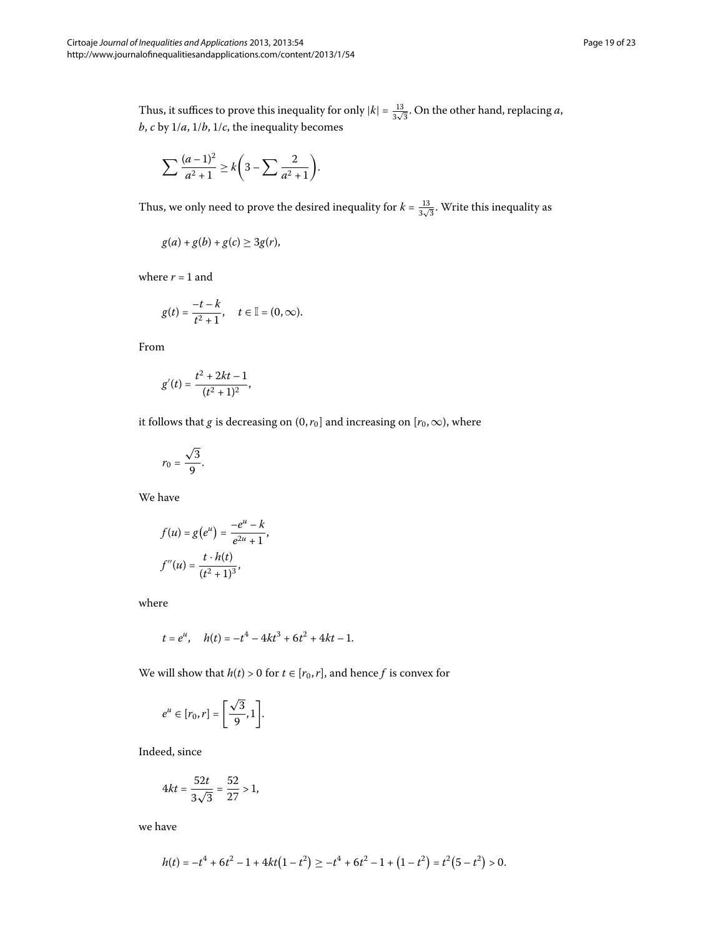Thus, it suffices to prove this inequality for only  $|k| = \frac{13}{3\sqrt{3}}$ . On the other hand, replacing *a*,  $b, c$  by  $1/a, 1/b, 1/c$ , the inequality becomes

$$
\sum \frac{(a-1)^2}{a^2+1} \ge k \bigg(3-\sum \frac{2}{a^2+1}\bigg).
$$

Thus, we only need to prove the desired inequality for  $k = \frac{13}{3\sqrt{3}}$ . Write this inequality as

$$
g(a) + g(b) + g(c) \geq 3g(r),
$$

where  $r = 1$  and

$$
g(t) = \frac{-t - k}{t^2 + 1}, \quad t \in \mathbb{I} = (0, \infty).
$$

From

$$
g'(t) = \frac{t^2 + 2kt - 1}{(t^2 + 1)^2},
$$

it follows that *g* is decreasing on (0,  $r_0$ ) and increasing on [ $r_0$ ,  $\infty$ ), where

$$
r_0=\frac{\sqrt{3}}{9}.
$$

We have

$$
f(u) = g(e^{u}) = \frac{-e^{u} - k}{e^{2u} + 1},
$$

$$
f''(u) = \frac{t \cdot h(t)}{(t^{2} + 1)^{3}},
$$

where

$$
t = e^u
$$
,  $h(t) = -t^4 - 4kt^3 + 6t^2 + 4kt - 1$ .

We will show that  $h(t) > 0$  for  $t \in [r_0, r]$ , and hence *f* is convex for

$$
e^u \in [r_0, r] = \left[\frac{\sqrt{3}}{9}, 1\right].
$$

Indeed, since

$$
4kt = \frac{52t}{3\sqrt{3}} = \frac{52}{27} > 1,
$$

we have

$$
h(t) = -t^4 + 6t^2 - 1 + 4kt(1 - t^2) \ge -t^4 + 6t^2 - 1 + (1 - t^2) = t^2(5 - t^2) > 0.
$$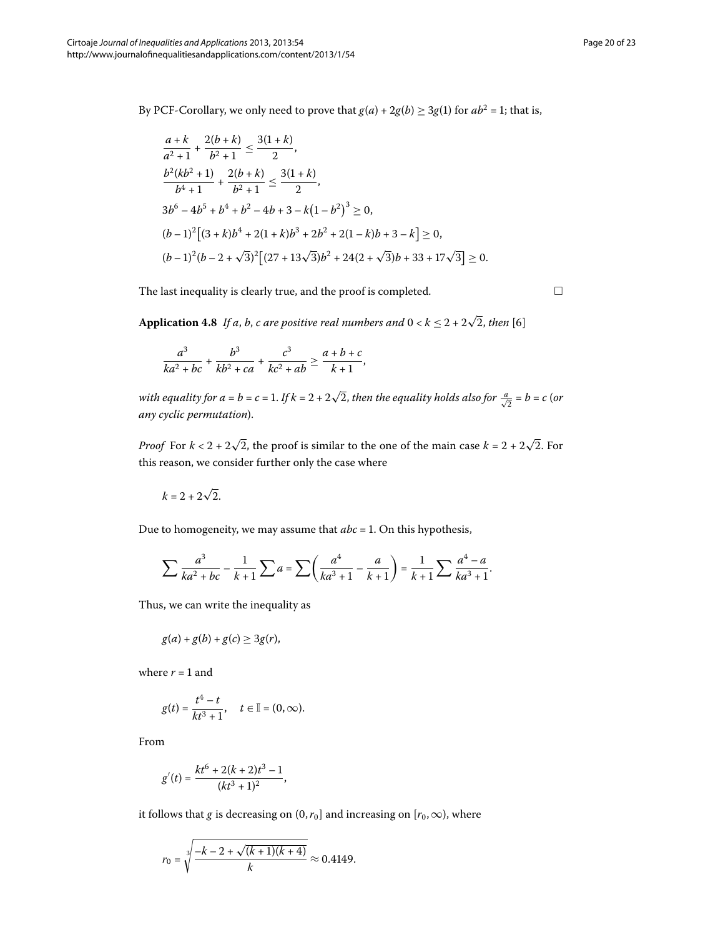By PCF-Corollary, we only need to prove that  $g(a) + 2g(b) \ge 3g(1)$  for  $ab^2 = 1$ ; that is,

$$
\frac{a+k}{a^2+1} + \frac{2(b+k)}{b^2+1} \le \frac{3(1+k)}{2},
$$
  
\n
$$
\frac{b^2(kb^2+1)}{b^4+1} + \frac{2(b+k)}{b^2+1} \le \frac{3(1+k)}{2},
$$
  
\n
$$
3b^6 - 4b^5 + b^4 + b^2 - 4b + 3 - k(1-b^2)^3 \ge 0,
$$
  
\n
$$
(b-1)^2[(3+k)b^4 + 2(1+k)b^3 + 2b^2 + 2(1-k)b + 3 - k] \ge 0,
$$
  
\n
$$
(b-1)^2(b-2+\sqrt{3})^2[(27+13\sqrt{3})b^2 + 24(2+\sqrt{3})b + 33 + 17\sqrt{3}] \ge 0.
$$

The last inequality is clearly true, and the proof is completed.

 $\Box$ 

**Application 4.8** *If a, b, c are positive real numbers and*  $0 < k \le 2 + 2\sqrt{2}$ *, then* [\[](#page-22-5)6]

$$
\frac{a^3}{ka^2 + bc} + \frac{b^3}{kb^2 + ca} + \frac{c^3}{kc^2 + ab} \ge \frac{a+b+c}{k+1},
$$

*with equality for a = b = c = 1. If k = 2 + 2* $\sqrt{2}$ *, then the equality holds also for*  $\frac{a}{\sqrt{2}}$  *= b = c (or any cyclic permutation*).

*Proof* For  $k < 2 + 2\sqrt{2}$ , the proof is similar to the one of the main case  $k = 2 + 2\sqrt{2}$ . For this reason, we consider further only the case where

$$
k=2+2\sqrt{2}.
$$

Due to homogeneity, we may assume that  $abc = 1$ . On this hypothesis,

$$
\sum \frac{a^3}{ka^2 + bc} - \frac{1}{k+1} \sum a = \sum \left( \frac{a^4}{ka^3 + 1} - \frac{a}{k+1} \right) = \frac{1}{k+1} \sum \frac{a^4 - a}{ka^3 + 1}.
$$

Thus, we can write the inequality as

$$
g(a) + g(b) + g(c) \geq 3g(r),
$$

where  $r = 1$  and

$$
g(t) = \frac{t^4 - t}{kt^3 + 1}
$$
,  $t \in \mathbb{I} = (0, \infty)$ .

From

$$
g'(t) = \frac{kt^6 + 2(k+2)t^3 - 1}{(kt^3 + 1)^2},
$$

it follows that *g* is decreasing on  $(0, r_0]$  and increasing on  $[r_0, \infty)$ , where

$$
r_0 = \sqrt[3]{\frac{-k - 2 + \sqrt{(k+1)(k+4)}}{k}} \approx 0.4149.
$$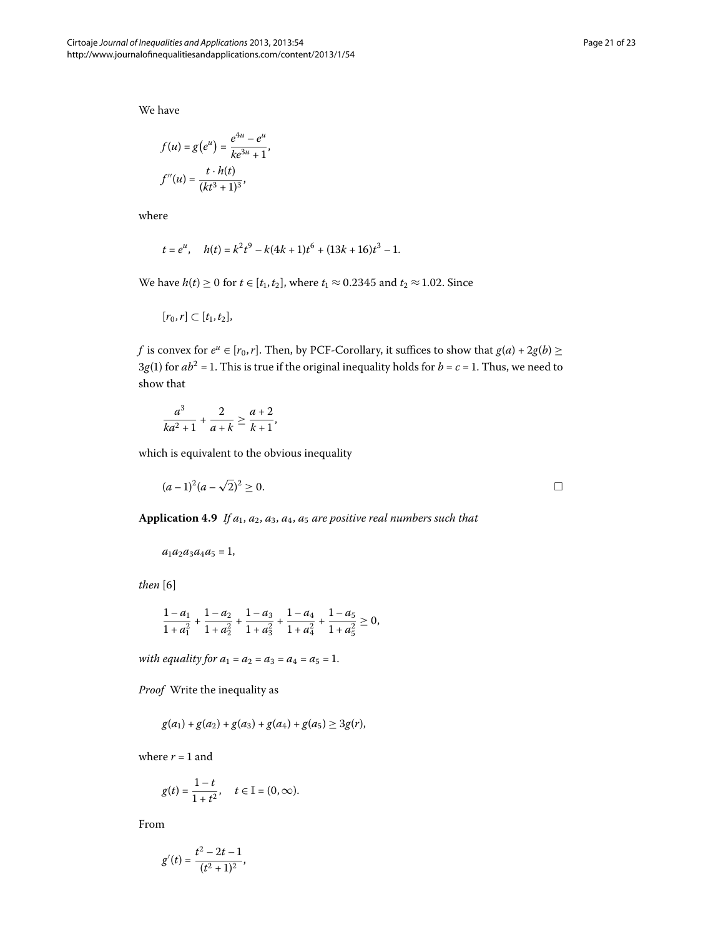We have

$$
f(u) = g(e^{u}) = \frac{e^{4u} - e^{u}}{ke^{3u} + 1},
$$

$$
f''(u) = \frac{t \cdot h(t)}{(kt^{3} + 1)^{3}},
$$

where

$$
t = e^u
$$
,  $h(t) = k^2 t^9 - k(4k+1)t^6 + (13k+16)t^3 - 1$ .

We have  $h(t) \ge 0$  for  $t \in [t_1, t_2]$ , where  $t_1 \approx 0.2345$  and  $t_2 \approx 1.02$ . Since

$$
[r_0,r]\subset [t_1,t_2],
$$

*f* is convex for  $e^u \in [r_0, r]$ . Then, by PCF-Corollary, it suffices to show that  $g(a) + 2g(b) \ge$  $3g(1)$  for  $ab^2 = 1$ . This is true if the original inequality holds for  $b = c = 1$ . Thus, we need to show that

$$
\frac{a^3}{ka^2+1} + \frac{2}{a+k} \ge \frac{a+2}{k+1},
$$

which is equivalent to the obvious inequality

$$
(a-1)^2(a-\sqrt{2})^2 \ge 0.
$$

Application 4.9 If  $a_1$ ,  $a_2$ ,  $a_3$ ,  $a_4$ ,  $a_5$  are positive real numbers such that

$$
a_1a_2a_3a_4a_5=1,
$$

 $then [6]$ 

$$
\frac{1-a_1}{1+a_1^2} + \frac{1-a_2}{1+a_2^2} + \frac{1-a_3}{1+a_3^2} + \frac{1-a_4}{1+a_4^2} + \frac{1-a_5}{1+a_5^2} \ge 0,
$$

*with equality for*  $a_1 = a_2 = a_3 = a_4 = a_5 = 1$ .

*Proof* Write the inequality as

$$
g(a_1) + g(a_2) + g(a_3) + g(a_4) + g(a_5) \ge 3g(r),
$$

where  $r = 1$  and

$$
g(t) = \frac{1-t}{1+t^2}, \quad t \in \mathbb{I} = (0, \infty).
$$

From

$$
g'(t) = \frac{t^2 - 2t - 1}{(t^2 + 1)^2},
$$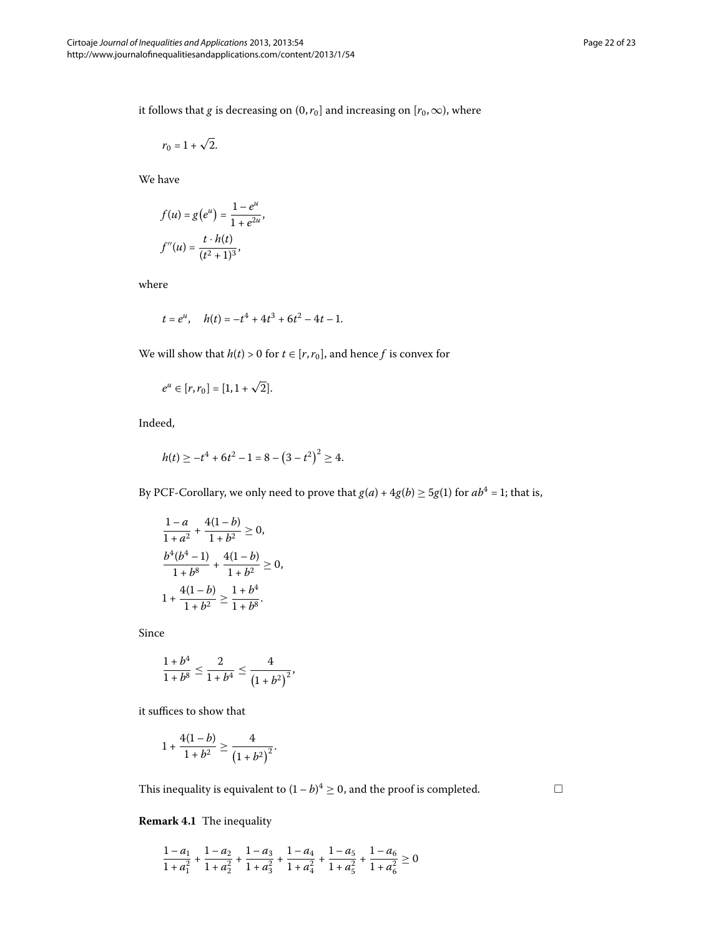it follows that *g* is decreasing on  $(0, r_0]$  and increasing on  $[r_0, \infty)$ , where

$$
r_0=1+\sqrt{2}.
$$

We have

$$
f(u) = g(e^{u}) = \frac{1 - e^{u}}{1 + e^{2u}},
$$

$$
f''(u) = \frac{t \cdot h(t)}{(t^{2} + 1)^{3}},
$$

where

$$
t = e^u
$$
,  $h(t) = -t^4 + 4t^3 + 6t^2 - 4t - 1$ .

We will show that  $h(t) > 0$  for  $t \in [r, r_0]$ , and hence *f* is convex for

$$
e^u \in [r, r_0] = [1, 1 + \sqrt{2}].
$$

Indeed,

$$
h(t) \ge -t^4 + 6t^2 - 1 = 8 - (3 - t^2)^2 \ge 4.
$$

By PCF-Corollary, we only need to prove that  $g(a) + 4g(b) \ge 5g(1)$  for  $ab^4 = 1$ ; that is,

$$
\frac{1-a}{1+a^2} + \frac{4(1-b)}{1+b^2} \ge 0,
$$
  
\n
$$
\frac{b^4(b^4-1)}{1+b^8} + \frac{4(1-b)}{1+b^2} \ge 0,
$$
  
\n
$$
1 + \frac{4(1-b)}{1+b^2} \ge \frac{1+b^4}{1+b^8}.
$$

Since

$$
\frac{1+b^4}{1+b^8} \le \frac{2}{1+b^4} \le \frac{4}{\left(1+b^2\right)^2},
$$

it suffices to show that

$$
1+\frac{4(1-b)}{1+b^2}\geq \frac{4}{(1+b^2)^2}.
$$

This inequality is equivalent to  $(1-b)^4 \ge 0$ , and the proof is completed.

 $\Box$ 

**Remark 4.1** The inequality

$$
\frac{1-a_1}{1+a_1^2} + \frac{1-a_2}{1+a_2^2} + \frac{1-a_3}{1+a_3^2} + \frac{1-a_4}{1+a_4^2} + \frac{1-a_5}{1+a_5^2} + \frac{1-a_6}{1+a_6^2} \ge 0
$$